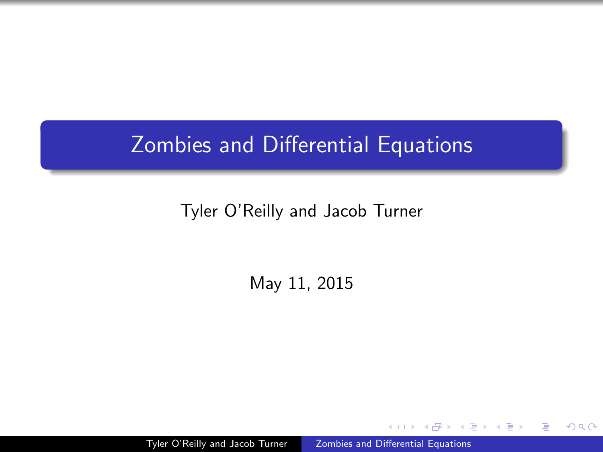### <span id="page-0-0"></span>Zombies and Differential Equations

#### Tyler O'Reilly and Jacob Turner

May 11, 2015

Tyler O'Reilly and Jacob Turner | [Zombies and Differential Equations](#page-18-0)

 $\Omega$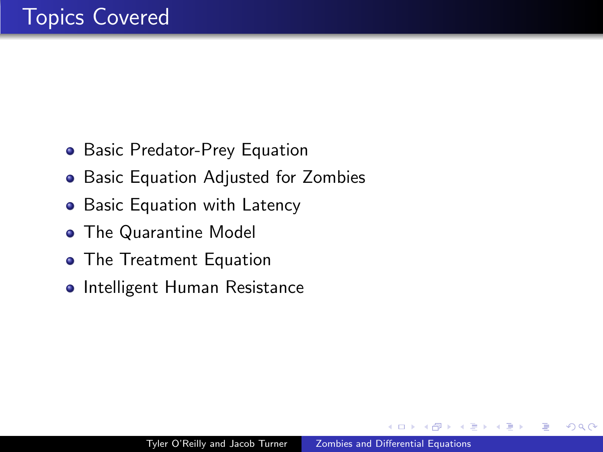- **•** Basic Predator-Prey Equation
- **•** Basic Equation Adjusted for Zombies
- Basic Equation with Latency
- The Quarantine Model
- The Treatment Equation
- **Intelligent Human Resistance**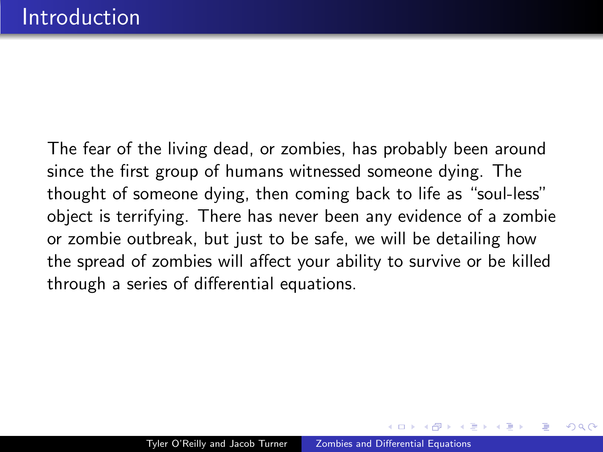The fear of the living dead, or zombies, has probably been around since the first group of humans witnessed someone dying. The thought of someone dying, then coming back to life as "soul-less" object is terrifying. There has never been any evidence of a zombie or zombie outbreak, but just to be safe, we will be detailing how the spread of zombies will affect your ability to survive or be killed through a series of differential equations.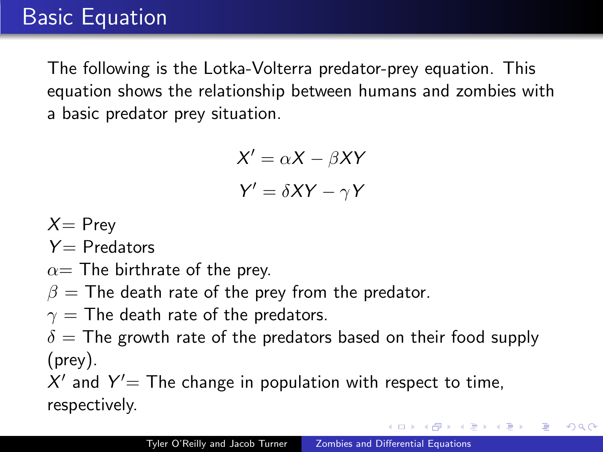## Basic Equation

The following is the Lotka-Volterra predator-prey equation. This equation shows the relationship between humans and zombies with a basic predator prey situation.

$$
X' = \alpha X - \beta XY
$$

$$
Y' = \delta XY - \gamma Y
$$

 $X=$  Prey

 $Y =$  Predators

- $\alpha$ = The birthrate of the prey.
- $\beta$  = The death rate of the prey from the predator.
- $\gamma$  = The death rate of the predators.

 $\delta$  = The growth rate of the predators based on their food supply (prey).

 $X'$  and  $Y'$  The change in population with respect to time, respectively.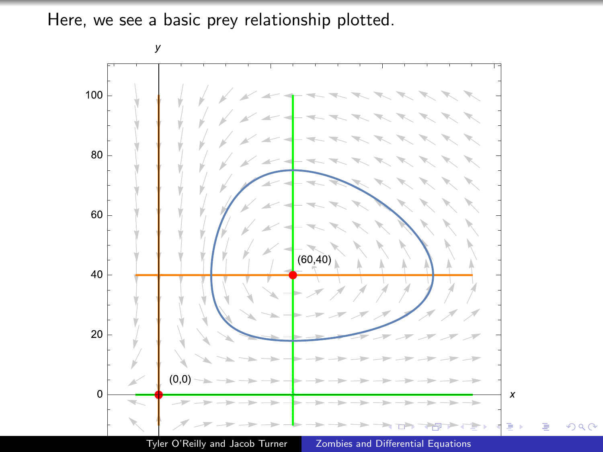Here, we see a basic prey relationship plotted.

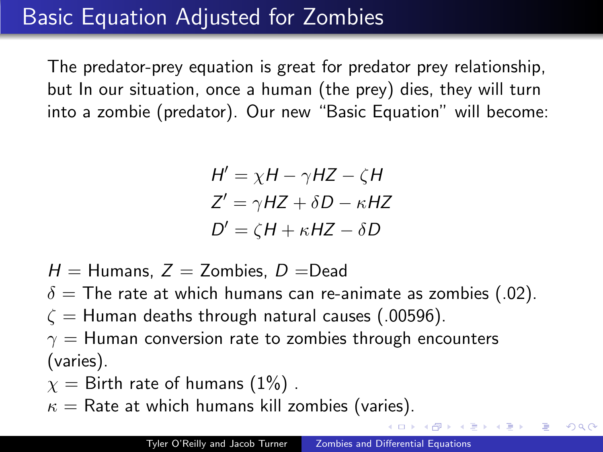# Basic Equation Adjusted for Zombies

The predator-prey equation is great for predator prey relationship, but In our situation, once a human (the prey) dies, they will turn into a zombie (predator). Our new "Basic Equation" will become:

> $H' = \chi H - \gamma HZ - \zeta H$  $Z' = \gamma HZ + \delta D - \kappa HZ$  $D' = \zeta H + \kappa HZ - \delta D$

 $H =$  Humans,  $Z =$  Zombies,  $D =$ Dead

 $\delta$  = The rate at which humans can re-animate as zombies (.02).

 $\zeta$  = Human deaths through natural causes (.00596).

 $\gamma$  = Human conversion rate to zombies through encounters (varies).

- $\gamma =$  Birth rate of humans (1%).
- $\kappa =$  Rate at which humans kill zombies (varies).

イヨメ イヨメー

 $200$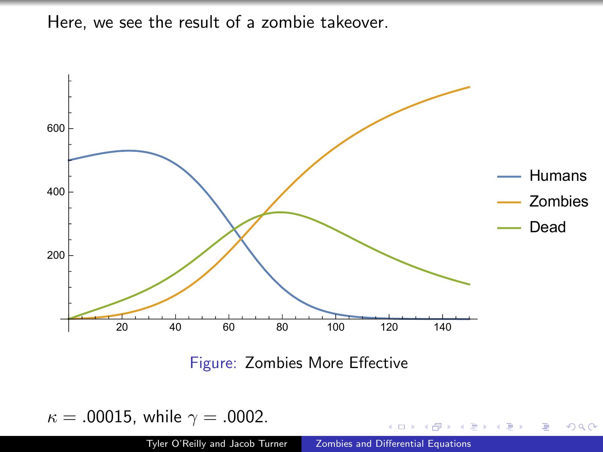Here, we see the result of a zombie takeover.



Figure: Zombies More Effective

 $\kappa = .00015$ , while  $\gamma = .0002$ .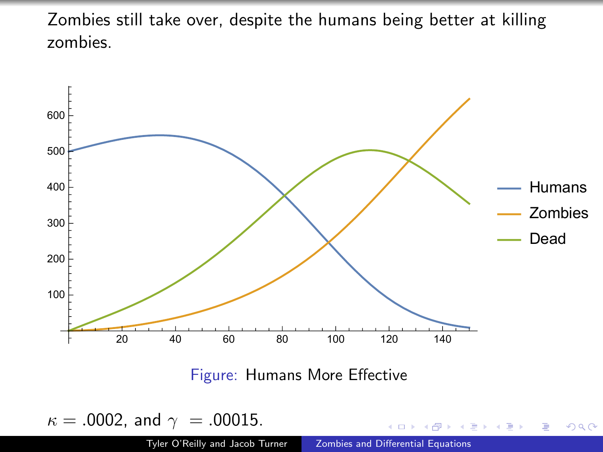Zombies still take over, despite the humans being better at killing zombies.



 $\kappa = .0002$ , and  $\gamma = .00015$ .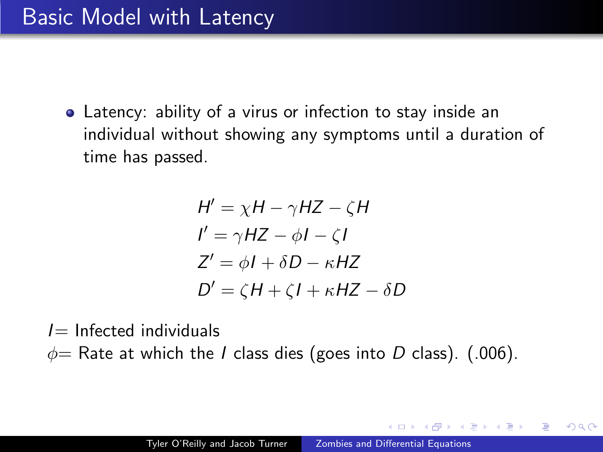Latency: ability of a virus or infection to stay inside an individual without showing any symptoms until a duration of time has passed.

$$
H' = \chi H - \gamma HZ - \zeta H
$$
  
\n
$$
I' = \gamma HZ - \phi I - \zeta I
$$
  
\n
$$
Z' = \phi I + \delta D - \kappa HZ
$$
  
\n
$$
D' = \zeta H + \zeta I + \kappa HZ - \delta D
$$

 $I=$  Infected individuals

 $\phi$  Rate at which the *I* class dies (goes into *D* class). (.006).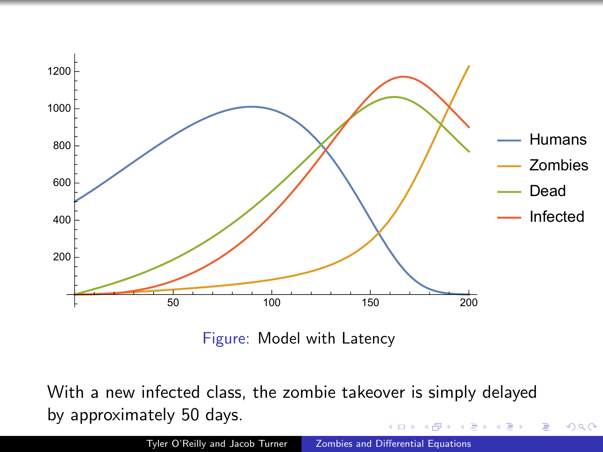

Figure: Model with Latency

With a new infected class, the zombie takeover is simply delayed by approximately 50 days.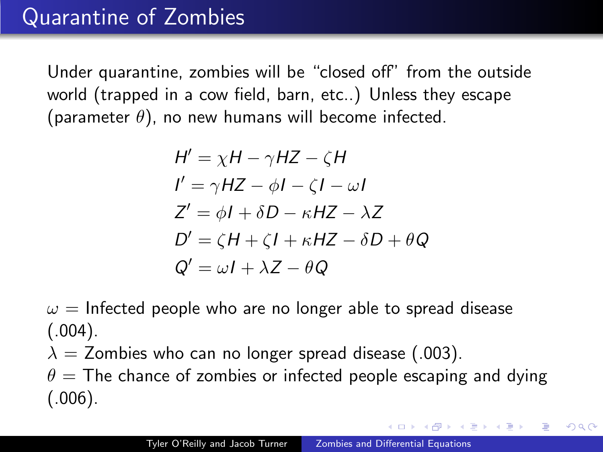Under quarantine, zombies will be "closed off" from the outside world (trapped in a cow field, barn, etc..) Unless they escape (parameter  $\theta$ ), no new humans will become infected.

$$
H' = \chi H - \gamma HZ - \zeta H
$$
  
\n
$$
I' = \gamma HZ - \phi I - \zeta I - \omega I
$$
  
\n
$$
Z' = \phi I + \delta D - \kappa HZ - \lambda Z
$$
  
\n
$$
D' = \zeta H + \zeta I + \kappa HZ - \delta D + \theta Q
$$
  
\n
$$
Q' = \omega I + \lambda Z - \theta Q
$$

 $\omega$  = Infected people who are no longer able to spread disease  $(.004)$ .

 $\lambda =$  Zombies who can no longer spread disease (.003).

 $\theta$  = The chance of zombies or infected people escaping and dying  $(.006).$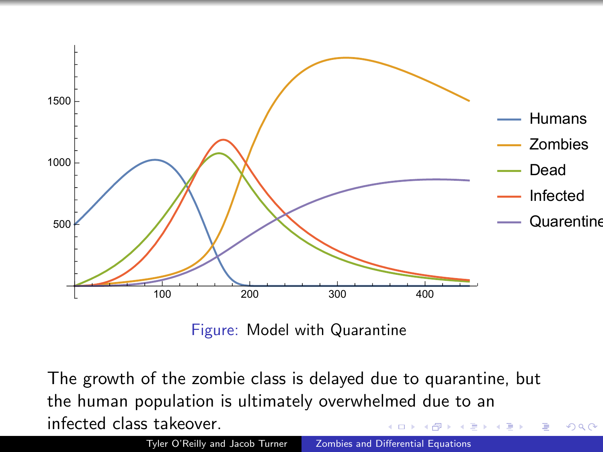

Figure: Model with Quarantine

The growth of the zombie class is delayed due to quarantine, but the human population is ultimately overwhelmed due to an infected class takeover.

つへへ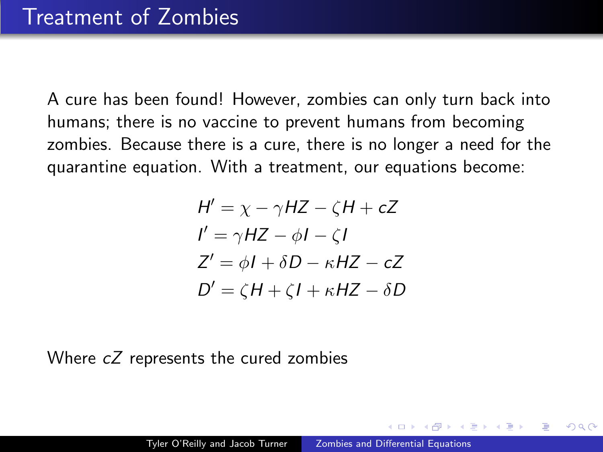A cure has been found! However, zombies can only turn back into humans; there is no vaccine to prevent humans from becoming zombies. Because there is a cure, there is no longer a need for the quarantine equation. With a treatment, our equations become:

$$
H' = \chi - \gamma HZ - \zeta H + cZ
$$
  
\n
$$
I' = \gamma HZ - \phi I - \zeta I
$$
  
\n
$$
Z' = \phi I + \delta D - \kappa HZ - cZ
$$
  
\n
$$
D' = \zeta H + \zeta I + \kappa HZ - \delta D
$$

Where  $cZ$  represents the cured zombies

 $\Omega$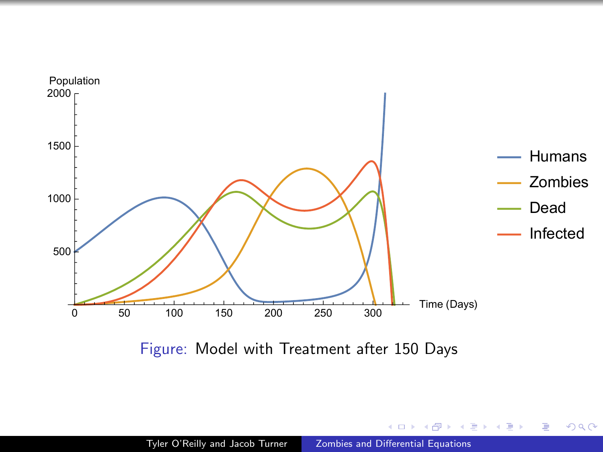

Figure: Model with Treatment after 150 Days

 $\leftarrow$ 

 $\sim$ 

同

Þ.

∍

э  $\,$  Þ

 $299$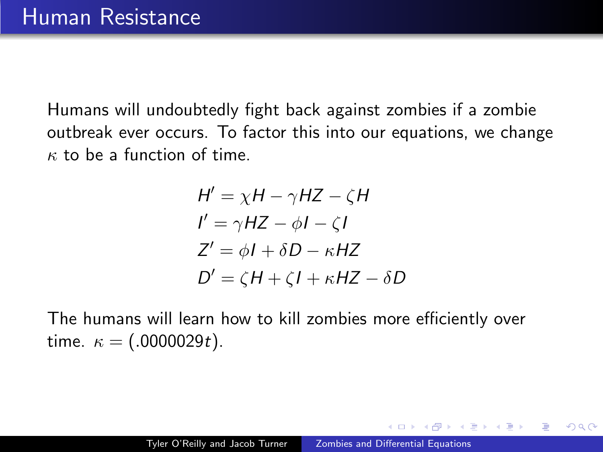Humans will undoubtedly fight back against zombies if a zombie outbreak ever occurs. To factor this into our equations, we change  $\kappa$  to be a function of time.

$$
H' = \chi H - \gamma HZ - \zeta H
$$
  
\n
$$
I' = \gamma HZ - \phi I - \zeta I
$$
  
\n
$$
Z' = \phi I + \delta D - \kappa HZ
$$
  
\n
$$
D' = \zeta H + \zeta I + \kappa HZ - \delta D
$$

The humans will learn how to kill zombies more efficiently over time.  $\kappa = (.0000029t)$ .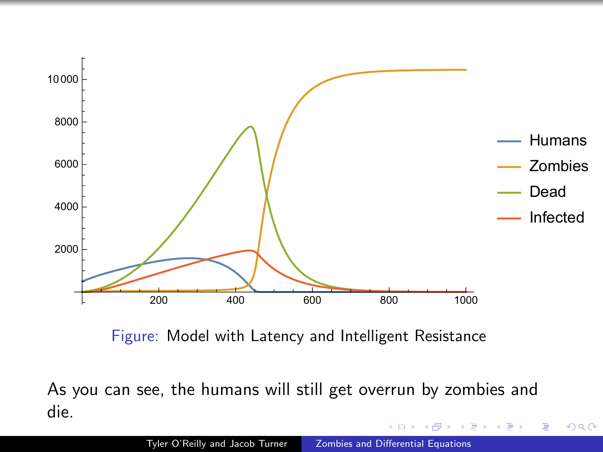

Figure: Model with Latency and Intelligent Resistance

As you can see, the humans will still get overrun by zombies and die.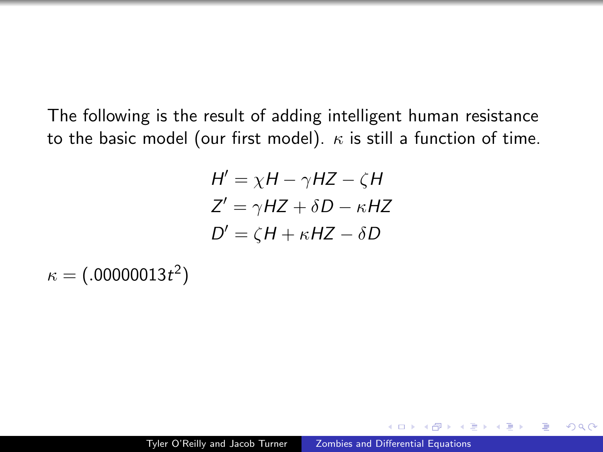The following is the result of adding intelligent human resistance to the basic model (our first model).  $\kappa$  is still a function of time.

$$
H' = \chi H - \gamma HZ - \zeta H
$$
  
Z' = \gamma HZ + \delta D - \kappa HZ  
D' = \zeta H + \kappa HZ - \delta D

 $\kappa = (.00000013t^2)$ 

 $200$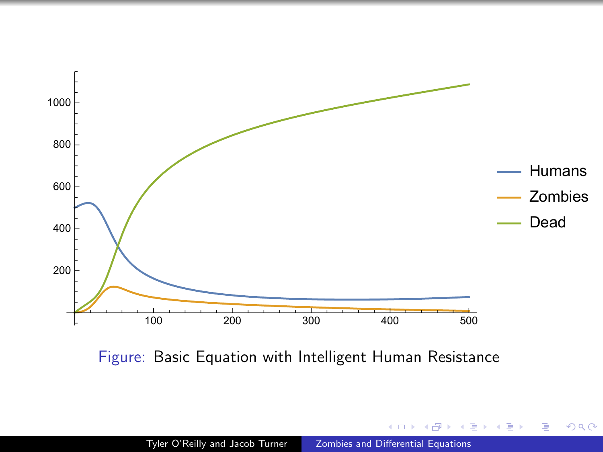

Figure: Basic Equation with Intelligent Human Resistance

a.  $\Box$  Þ

Έ